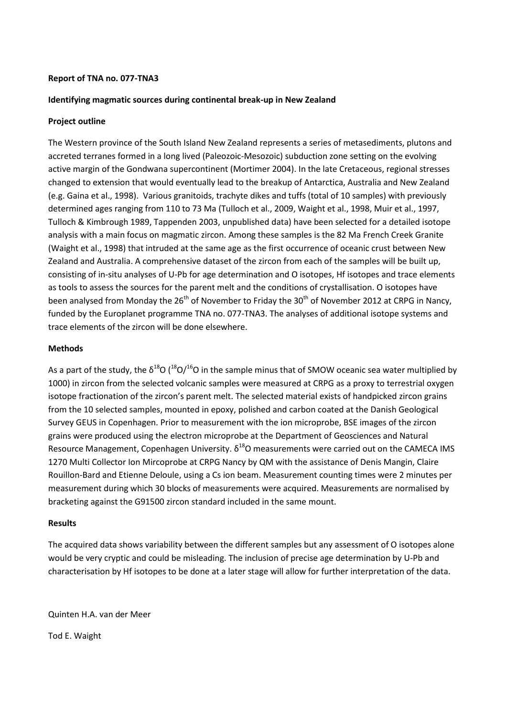## **Report of TNA no. 077-TNA3**

# **Identifying magmatic sources during continental break-up in New Zealand**

## **Project outline**

The Western province of the South Island New Zealand represents a series of metasediments, plutons and accreted terranes formed in a long lived (Paleozoic-Mesozoic) subduction zone setting on the evolving active margin of the Gondwana supercontinent (Mortimer 2004). In the late Cretaceous, regional stresses changed to extension that would eventually lead to the breakup of Antarctica, Australia and New Zealand (e.g. Gaina et al., 1998). Various granitoids, trachyte dikes and tuffs (total of 10 samples) with previously determined ages ranging from 110 to 73 Ma (Tulloch et al., 2009, Waight et al., 1998, Muir et al., 1997, Tulloch & Kimbrough 1989, Tappenden 2003, unpublished data) have been selected for a detailed isotope analysis with a main focus on magmatic zircon. Among these samples is the 82 Ma French Creek Granite (Waight et al., 1998) that intruded at the same age as the first occurrence of oceanic crust between New Zealand and Australia. A comprehensive dataset of the zircon from each of the samples will be built up, consisting of in-situ analyses of U-Pb for age determination and O isotopes, Hf isotopes and trace elements as tools to assess the sources for the parent melt and the conditions of crystallisation. O isotopes have been analysed from Monday the  $26<sup>th</sup>$  of November to Friday the  $30<sup>th</sup>$  of November 2012 at CRPG in Nancy, funded by the Europlanet programme TNA no. 077-TNA3. The analyses of additional isotope systems and trace elements of the zircon will be done elsewhere.

# **Methods**

As a part of the study, the  $\delta^{18}O$  ( $^{18}O/^{16}O$  in the sample minus that of SMOW oceanic sea water multiplied by 1000) in zircon from the selected volcanic samples were measured at CRPG as a proxy to terrestrial oxygen isotope fractionation of the zircon's parent melt. The selected material exists of handpicked zircon grains from the 10 selected samples, mounted in epoxy, polished and carbon coated at the Danish Geological Survey GEUS in Copenhagen. Prior to measurement with the ion microprobe, BSE images of the zircon grains were produced using the electron microprobe at the Department of Geosciences and Natural Resource Management, Copenhagen University.  $\delta^{18}$ O measurements were carried out on the CAMECA IMS 1270 Multi Collector Ion Mircoprobe at CRPG Nancy by QM with the assistance of Denis Mangin, Claire Rouillon-Bard and Etienne Deloule, using a Cs ion beam. Measurement counting times were 2 minutes per measurement during which 30 blocks of measurements were acquired. Measurements are normalised by bracketing against the G91500 zircon standard included in the same mount.

### **Results**

The acquired data shows variability between the different samples but any assessment of O isotopes alone would be very cryptic and could be misleading. The inclusion of precise age determination by U-Pb and characterisation by Hf isotopes to be done at a later stage will allow for further interpretation of the data.

Quinten H.A. van der Meer

Tod E. Waight